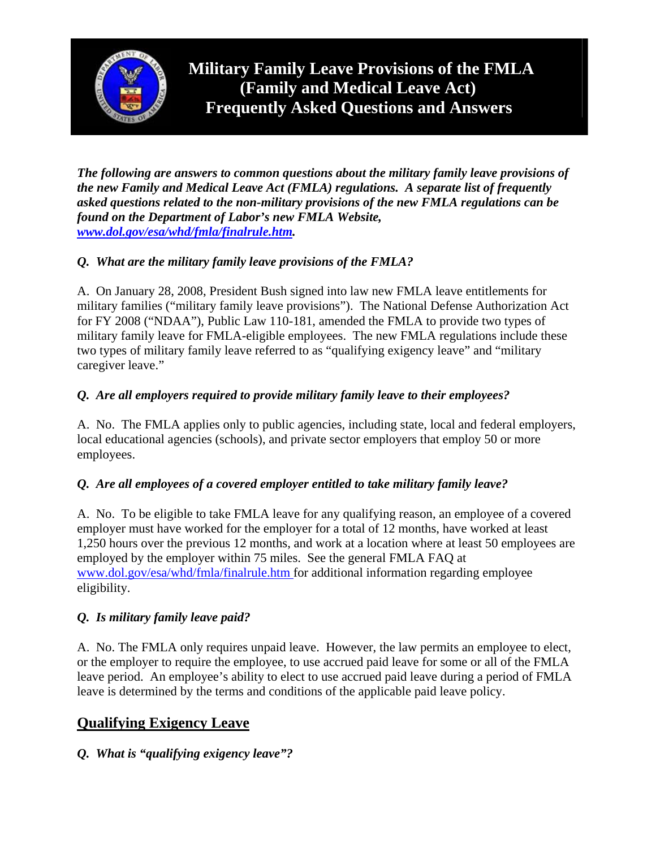

*The following are answers to common questions about the military family leave provisions of the new Family and Medical Leave Act (FMLA) regulations. A separate list of frequently asked questions related to the non-military provisions of the new FMLA regulations can be found on the Department of Labor's new FMLA Website, [www.dol.gov/esa/whd/fmla/finalrule.htm](http://www.dol.gov/esa/whd/fmla/finalrule.htm).* 

# *Q. What are the military family leave provisions of the FMLA?*

A. On January 28, 2008, President Bush signed into law new FMLA leave entitlements for military families ("military family leave provisions"). The National Defense Authorization Act for FY 2008 ("NDAA"), Public Law 110-181, amended the FMLA to provide two types of military family leave for FMLA-eligible employees. The new FMLA regulations include these two types of military family leave referred to as "qualifying exigency leave" and "military caregiver leave."

# *Q. Are all employers required to provide military family leave to their employees?*

A. No. The FMLA applies only to public agencies, including state, local and federal employers, local educational agencies (schools), and private sector employers that employ 50 or more employees.

# *Q. Are all employees of a covered employer entitled to take military family leave?*

A. No. To be eligible to take FMLA leave for any qualifying reason, an employee of a covered employer must have worked for the employer for a total of 12 months, have worked at least 1,250 hours over the previous 12 months, and work at a location where at least 50 employees are employed by the employer within 75 miles. See the general FMLA FAQ at [www.dol.gov/esa/whd/fmla/finalrule.htm f](http://www.dol.gov/esa/whd/fmla/finalrule.htm)or additional information regarding employee eligibility.

#### *Q. Is military family leave paid?*

A. No. The FMLA only requires unpaid leave. However, the law permits an employee to elect, or the employer to require the employee, to use accrued paid leave for some or all of the FMLA leave period. An employee's ability to elect to use accrued paid leave during a period of FMLA leave is determined by the terms and conditions of the applicable paid leave policy.

# **Qualifying Exigency Leave**

# *Q. What is "qualifying exigency leave"?*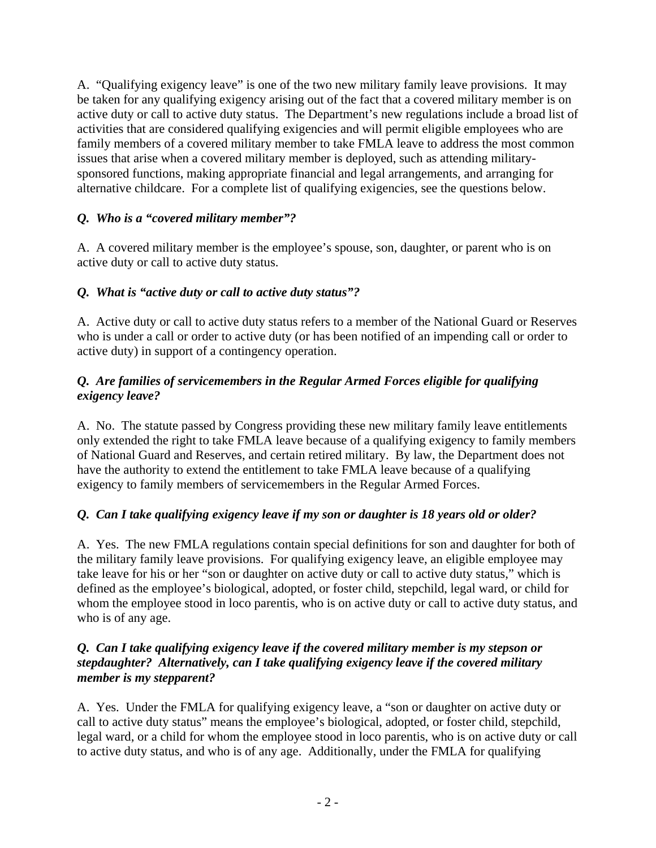A. "Qualifying exigency leave" is one of the two new military family leave provisions. It may be taken for any qualifying exigency arising out of the fact that a covered military member is on active duty or call to active duty status. The Department's new regulations include a broad list of activities that are considered qualifying exigencies and will permit eligible employees who are family members of a covered military member to take FMLA leave to address the most common issues that arise when a covered military member is deployed, such as attending militarysponsored functions, making appropriate financial and legal arrangements, and arranging for alternative childcare. For a complete list of qualifying exigencies, see the questions below.

# *Q. Who is a "covered military member"?*

A. A covered military member is the employee's spouse, son, daughter, or parent who is on active duty or call to active duty status.

# *Q. What is "active duty or call to active duty status"?*

A. Active duty or call to active duty status refers to a member of the National Guard or Reserves who is under a call or order to active duty (or has been notified of an impending call or order to active duty) in support of a contingency operation.

## *Q. Are families of servicemembers in the Regular Armed Forces eligible for qualifying exigency leave?*

A. No. The statute passed by Congress providing these new military family leave entitlements only extended the right to take FMLA leave because of a qualifying exigency to family members of National Guard and Reserves, and certain retired military. By law, the Department does not have the authority to extend the entitlement to take FMLA leave because of a qualifying exigency to family members of servicemembers in the Regular Armed Forces.

# *Q. Can I take qualifying exigency leave if my son or daughter is 18 years old or older?*

A. Yes. The new FMLA regulations contain special definitions for son and daughter for both of the military family leave provisions. For qualifying exigency leave, an eligible employee may take leave for his or her "son or daughter on active duty or call to active duty status," which is defined as the employee's biological, adopted, or foster child, stepchild, legal ward, or child for whom the employee stood in loco parentis, who is on active duty or call to active duty status, and who is of any age.

#### *Q. Can I take qualifying exigency leave if the covered military member is my stepson or stepdaughter? Alternatively, can I take qualifying exigency leave if the covered military member is my stepparent?*

A. Yes. Under the FMLA for qualifying exigency leave, a "son or daughter on active duty or call to active duty status" means the employee's biological, adopted, or foster child, stepchild, legal ward, or a child for whom the employee stood in loco parentis, who is on active duty or call to active duty status, and who is of any age. Additionally, under the FMLA for qualifying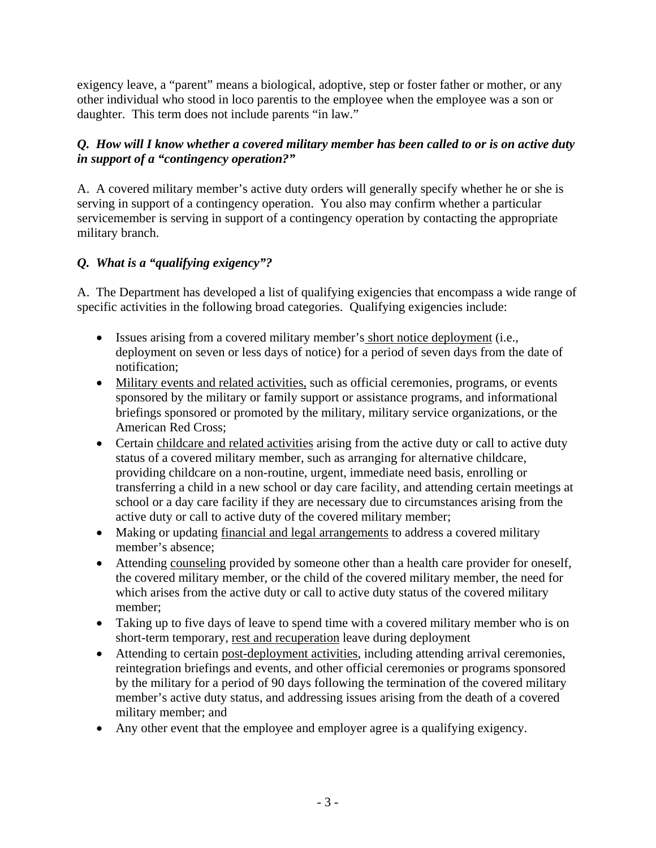exigency leave, a "parent" means a biological, adoptive, step or foster father or mother, or any other individual who stood in loco parentis to the employee when the employee was a son or daughter. This term does not include parents "in law."

## *Q. How will I know whether a covered military member has been called to or is on active duty in support of a "contingency operation?"*

A. A covered military member's active duty orders will generally specify whether he or she is serving in support of a contingency operation. You also may confirm whether a particular servicemember is serving in support of a contingency operation by contacting the appropriate military branch.

# *Q. What is a "qualifying exigency"?*

A. The Department has developed a list of qualifying exigencies that encompass a wide range of specific activities in the following broad categories. Qualifying exigencies include:

- Issues arising from a covered military member's short notice deployment (i.e., deployment on seven or less days of notice) for a period of seven days from the date of notification;
- Military events and related activities, such as official ceremonies, programs, or events sponsored by the military or family support or assistance programs, and informational briefings sponsored or promoted by the military, military service organizations, or the American Red Cross;
- Certain childcare and related activities arising from the active duty or call to active duty status of a covered military member, such as arranging for alternative childcare, providing childcare on a non-routine, urgent, immediate need basis, enrolling or transferring a child in a new school or day care facility, and attending certain meetings at school or a day care facility if they are necessary due to circumstances arising from the active duty or call to active duty of the covered military member;
- Making or updating financial and legal arrangements to address a covered military member's absence;
- Attending counseling provided by someone other than a health care provider for oneself, the covered military member, or the child of the covered military member, the need for which arises from the active duty or call to active duty status of the covered military member;
- Taking up to five days of leave to spend time with a covered military member who is on short-term temporary, rest and recuperation leave during deployment
- Attending to certain post-deployment activities, including attending arrival ceremonies, reintegration briefings and events, and other official ceremonies or programs sponsored by the military for a period of 90 days following the termination of the covered military member's active duty status, and addressing issues arising from the death of a covered military member; and
- Any other event that the employee and employer agree is a qualifying exigency.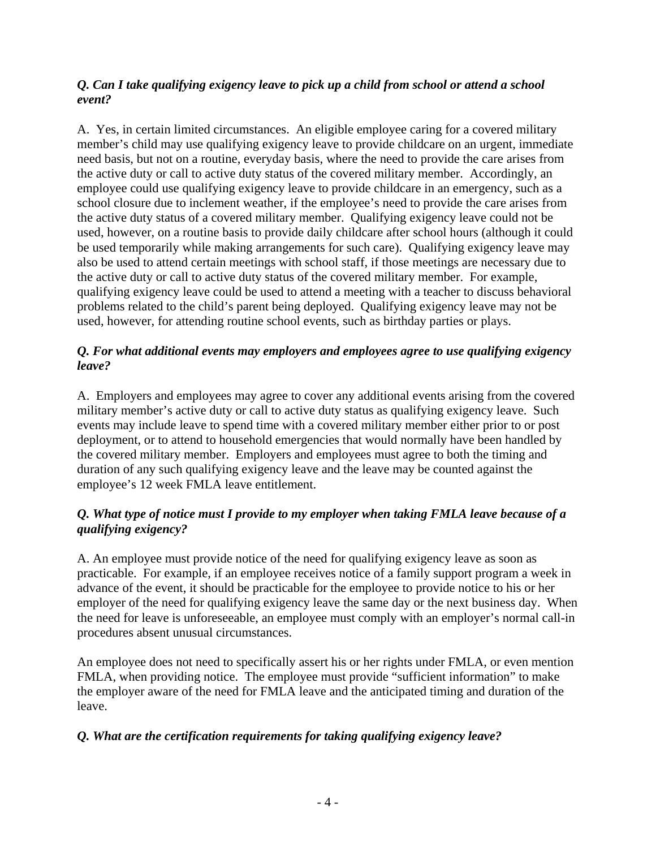## *Q. Can I take qualifying exigency leave to pick up a child from school or attend a school event?*

A. Yes, in certain limited circumstances. An eligible employee caring for a covered military member's child may use qualifying exigency leave to provide childcare on an urgent, immediate need basis, but not on a routine, everyday basis, where the need to provide the care arises from the active duty or call to active duty status of the covered military member. Accordingly, an employee could use qualifying exigency leave to provide childcare in an emergency, such as a school closure due to inclement weather, if the employee's need to provide the care arises from the active duty status of a covered military member. Qualifying exigency leave could not be used, however, on a routine basis to provide daily childcare after school hours (although it could be used temporarily while making arrangements for such care). Qualifying exigency leave may also be used to attend certain meetings with school staff, if those meetings are necessary due to the active duty or call to active duty status of the covered military member. For example, qualifying exigency leave could be used to attend a meeting with a teacher to discuss behavioral problems related to the child's parent being deployed. Qualifying exigency leave may not be used, however, for attending routine school events, such as birthday parties or plays.

#### *Q. For what additional events may employers and employees agree to use qualifying exigency leave?*

A. Employers and employees may agree to cover any additional events arising from the covered military member's active duty or call to active duty status as qualifying exigency leave. Such events may include leave to spend time with a covered military member either prior to or post deployment, or to attend to household emergencies that would normally have been handled by the covered military member. Employers and employees must agree to both the timing and duration of any such qualifying exigency leave and the leave may be counted against the employee's 12 week FMLA leave entitlement.

## *Q. What type of notice must I provide to my employer when taking FMLA leave because of a qualifying exigency?*

A. An employee must provide notice of the need for qualifying exigency leave as soon as practicable. For example, if an employee receives notice of a family support program a week in advance of the event, it should be practicable for the employee to provide notice to his or her employer of the need for qualifying exigency leave the same day or the next business day. When the need for leave is unforeseeable, an employee must comply with an employer's normal call-in procedures absent unusual circumstances.

An employee does not need to specifically assert his or her rights under FMLA, or even mention FMLA, when providing notice. The employee must provide "sufficient information" to make the employer aware of the need for FMLA leave and the anticipated timing and duration of the leave.

# *Q. What are the certification requirements for taking qualifying exigency leave?*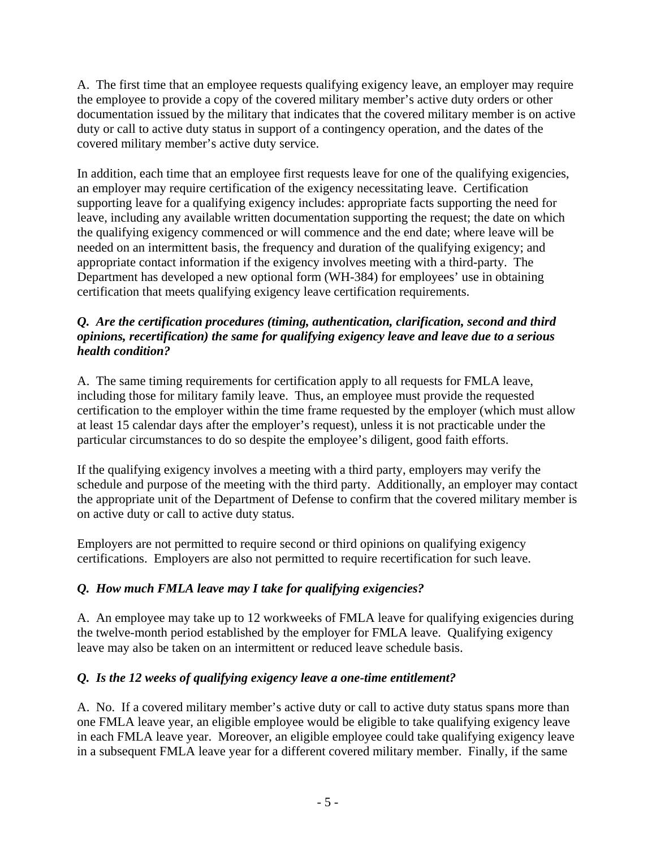A. The first time that an employee requests qualifying exigency leave, an employer may require the employee to provide a copy of the covered military member's active duty orders or other documentation issued by the military that indicates that the covered military member is on active duty or call to active duty status in support of a contingency operation, and the dates of the covered military member's active duty service.

In addition, each time that an employee first requests leave for one of the qualifying exigencies, an employer may require certification of the exigency necessitating leave. Certification supporting leave for a qualifying exigency includes: appropriate facts supporting the need for leave, including any available written documentation supporting the request; the date on which the qualifying exigency commenced or will commence and the end date; where leave will be needed on an intermittent basis, the frequency and duration of the qualifying exigency; and appropriate contact information if the exigency involves meeting with a third-party. The Department has developed a new optional form (WH-384) for employees' use in obtaining certification that meets qualifying exigency leave certification requirements.

## *Q. Are the certification procedures (timing, authentication, clarification, second and third opinions, recertification) the same for qualifying exigency leave and leave due to a serious health condition?*

A. The same timing requirements for certification apply to all requests for FMLA leave, including those for military family leave. Thus, an employee must provide the requested certification to the employer within the time frame requested by the employer (which must allow at least 15 calendar days after the employer's request), unless it is not practicable under the particular circumstances to do so despite the employee's diligent, good faith efforts.

If the qualifying exigency involves a meeting with a third party, employers may verify the schedule and purpose of the meeting with the third party. Additionally, an employer may contact the appropriate unit of the Department of Defense to confirm that the covered military member is on active duty or call to active duty status.

Employers are not permitted to require second or third opinions on qualifying exigency certifications. Employers are also not permitted to require recertification for such leave.

# *Q. How much FMLA leave may I take for qualifying exigencies?*

A. An employee may take up to 12 workweeks of FMLA leave for qualifying exigencies during the twelve-month period established by the employer for FMLA leave. Qualifying exigency leave may also be taken on an intermittent or reduced leave schedule basis.

# *Q. Is the 12 weeks of qualifying exigency leave a one-time entitlement?*

A. No. If a covered military member's active duty or call to active duty status spans more than one FMLA leave year, an eligible employee would be eligible to take qualifying exigency leave in each FMLA leave year. Moreover, an eligible employee could take qualifying exigency leave in a subsequent FMLA leave year for a different covered military member. Finally, if the same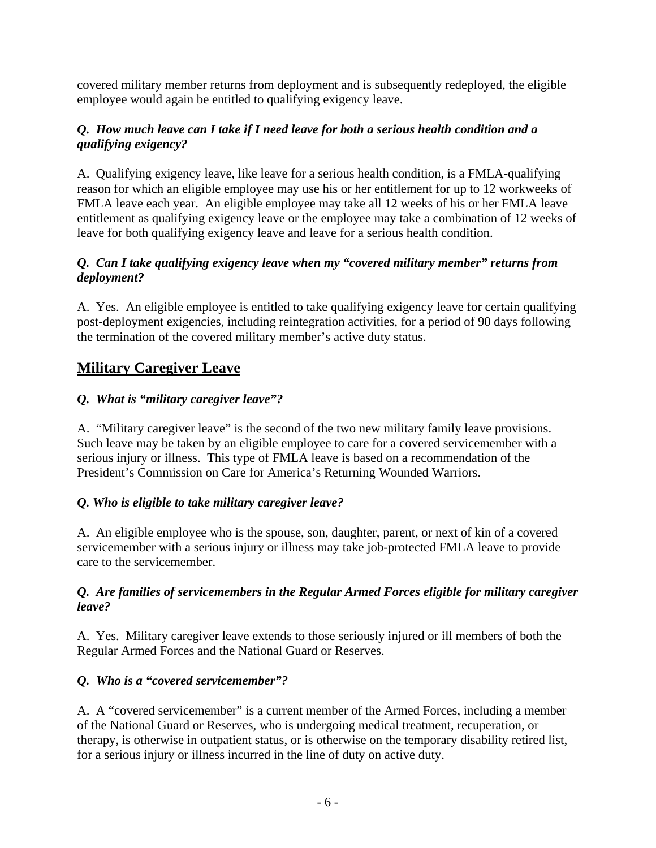covered military member returns from deployment and is subsequently redeployed, the eligible employee would again be entitled to qualifying exigency leave.

## *Q. How much leave can I take if I need leave for both a serious health condition and a qualifying exigency?*

A. Qualifying exigency leave, like leave for a serious health condition, is a FMLA-qualifying reason for which an eligible employee may use his or her entitlement for up to 12 workweeks of FMLA leave each year. An eligible employee may take all 12 weeks of his or her FMLA leave entitlement as qualifying exigency leave or the employee may take a combination of 12 weeks of leave for both qualifying exigency leave and leave for a serious health condition.

# *Q. Can I take qualifying exigency leave when my "covered military member" returns from deployment?*

A. Yes. An eligible employee is entitled to take qualifying exigency leave for certain qualifying post-deployment exigencies, including reintegration activities, for a period of 90 days following the termination of the covered military member's active duty status.

# **Military Caregiver Leave**

# *Q. What is "military caregiver leave"?*

A. "Military caregiver leave" is the second of the two new military family leave provisions. Such leave may be taken by an eligible employee to care for a covered servicemember with a serious injury or illness. This type of FMLA leave is based on a recommendation of the President's Commission on Care for America's Returning Wounded Warriors.

# *Q. Who is eligible to take military caregiver leave?*

A. An eligible employee who is the spouse, son, daughter, parent, or next of kin of a covered servicemember with a serious injury or illness may take job-protected FMLA leave to provide care to the servicemember.

## *Q. Are families of servicemembers in the Regular Armed Forces eligible for military caregiver leave?*

A. Yes. Military caregiver leave extends to those seriously injured or ill members of both the Regular Armed Forces and the National Guard or Reserves.

# *Q. Who is a "covered servicemember"?*

A. A "covered servicemember" is a current member of the Armed Forces, including a member of the National Guard or Reserves, who is undergoing medical treatment, recuperation, or therapy, is otherwise in outpatient status, or is otherwise on the temporary disability retired list, for a serious injury or illness incurred in the line of duty on active duty.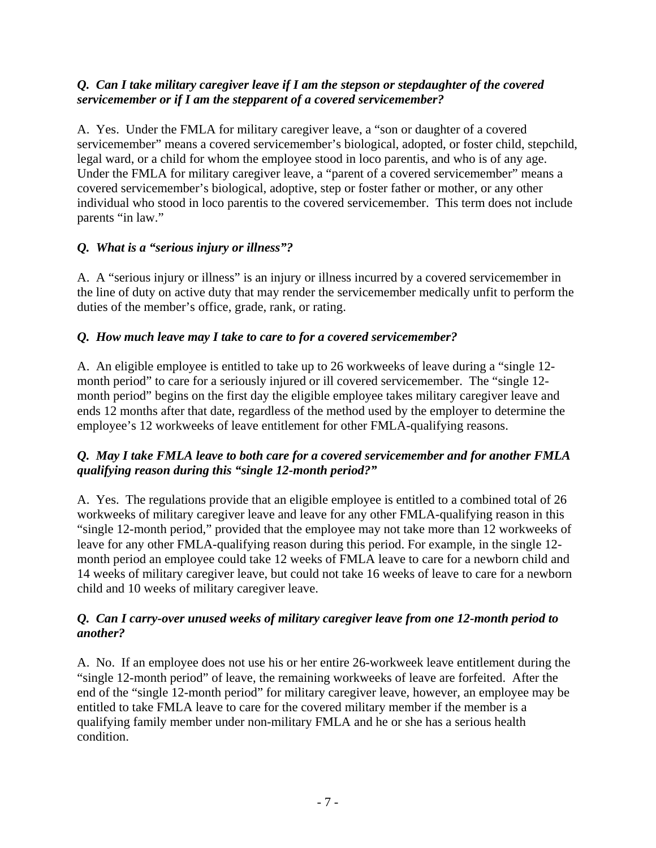#### *Q. Can I take military caregiver leave if I am the stepson or stepdaughter of the covered servicemember or if I am the stepparent of a covered servicemember?*

A. Yes. Under the FMLA for military caregiver leave, a "son or daughter of a covered servicemember" means a covered servicemember's biological, adopted, or foster child, stepchild, legal ward, or a child for whom the employee stood in loco parentis, and who is of any age. Under the FMLA for military caregiver leave, a "parent of a covered servicemember" means a covered servicemember's biological, adoptive, step or foster father or mother, or any other individual who stood in loco parentis to the covered servicemember. This term does not include parents "in law."

# *Q. What is a "serious injury or illness"?*

A. A "serious injury or illness" is an injury or illness incurred by a covered servicemember in the line of duty on active duty that may render the servicemember medically unfit to perform the duties of the member's office, grade, rank, or rating.

## *Q. How much leave may I take to care to for a covered servicemember?*

A. An eligible employee is entitled to take up to 26 workweeks of leave during a "single 12 month period" to care for a seriously injured or ill covered servicemember. The "single 12 month period" begins on the first day the eligible employee takes military caregiver leave and ends 12 months after that date, regardless of the method used by the employer to determine the employee's 12 workweeks of leave entitlement for other FMLA-qualifying reasons.

## *Q. May I take FMLA leave to both care for a covered servicemember and for another FMLA qualifying reason during this "single 12-month period?"*

A. Yes. The regulations provide that an eligible employee is entitled to a combined total of 26 workweeks of military caregiver leave and leave for any other FMLA-qualifying reason in this "single 12-month period," provided that the employee may not take more than 12 workweeks of leave for any other FMLA-qualifying reason during this period. For example, in the single 12 month period an employee could take 12 weeks of FMLA leave to care for a newborn child and 14 weeks of military caregiver leave, but could not take 16 weeks of leave to care for a newborn child and 10 weeks of military caregiver leave.

#### *Q. Can I carry-over unused weeks of military caregiver leave from one 12-month period to another?*

A. No. If an employee does not use his or her entire 26-workweek leave entitlement during the "single 12-month period" of leave, the remaining workweeks of leave are forfeited. After the end of the "single 12-month period" for military caregiver leave, however, an employee may be entitled to take FMLA leave to care for the covered military member if the member is a qualifying family member under non-military FMLA and he or she has a serious health condition.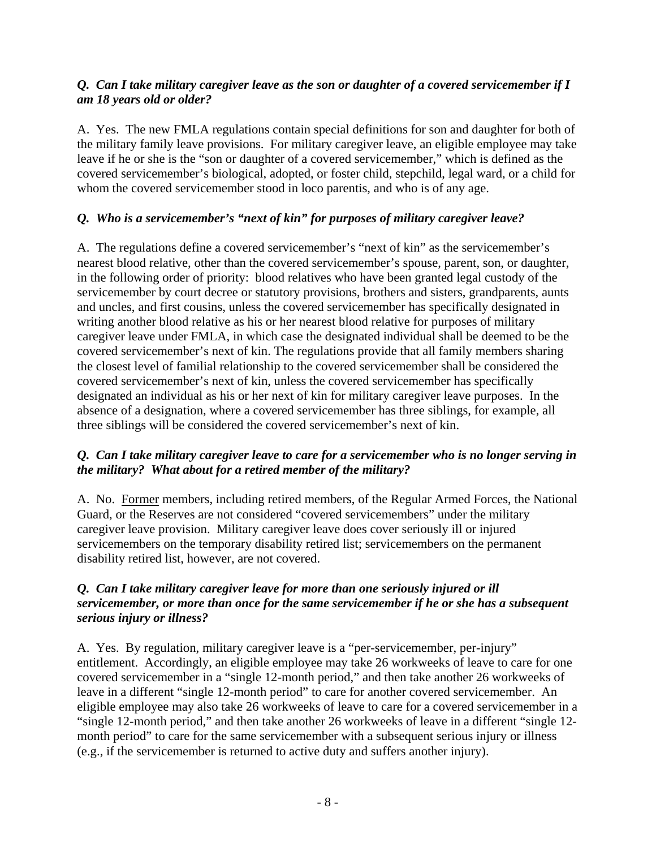## *Q. Can I take military caregiver leave as the son or daughter of a covered servicemember if I am 18 years old or older?*

A. Yes. The new FMLA regulations contain special definitions for son and daughter for both of the military family leave provisions. For military caregiver leave, an eligible employee may take leave if he or she is the "son or daughter of a covered servicemember," which is defined as the covered servicemember's biological, adopted, or foster child, stepchild, legal ward, or a child for whom the covered servicemember stood in loco parentis, and who is of any age.

# *Q. Who is a servicemember's "next of kin" for purposes of military caregiver leave?*

A. The regulations define a covered servicemember's "next of kin" as the servicemember's nearest blood relative, other than the covered servicemember's spouse, parent, son, or daughter, in the following order of priority: blood relatives who have been granted legal custody of the servicemember by court decree or statutory provisions, brothers and sisters, grandparents, aunts and uncles, and first cousins, unless the covered servicemember has specifically designated in writing another blood relative as his or her nearest blood relative for purposes of military caregiver leave under FMLA, in which case the designated individual shall be deemed to be the covered servicemember's next of kin. The regulations provide that all family members sharing the closest level of familial relationship to the covered servicemember shall be considered the covered servicemember's next of kin, unless the covered servicemember has specifically designated an individual as his or her next of kin for military caregiver leave purposes. In the absence of a designation, where a covered servicemember has three siblings, for example, all three siblings will be considered the covered servicemember's next of kin.

## *Q. Can I take military caregiver leave to care for a servicemember who is no longer serving in the military? What about for a retired member of the military?*

A. No. Former members, including retired members, of the Regular Armed Forces, the National Guard, or the Reserves are not considered "covered servicemembers" under the military caregiver leave provision. Military caregiver leave does cover seriously ill or injured servicemembers on the temporary disability retired list; servicemembers on the permanent disability retired list, however, are not covered.

### *Q. Can I take military caregiver leave for more than one seriously injured or ill servicemember, or more than once for the same servicemember if he or she has a subsequent serious injury or illness?*

A. Yes. By regulation, military caregiver leave is a "per-servicemember, per-injury" entitlement. Accordingly, an eligible employee may take 26 workweeks of leave to care for one covered servicemember in a "single 12-month period," and then take another 26 workweeks of leave in a different "single 12-month period" to care for another covered servicemember. An eligible employee may also take 26 workweeks of leave to care for a covered servicemember in a "single 12-month period," and then take another 26 workweeks of leave in a different "single 12 month period" to care for the same servicemember with a subsequent serious injury or illness (e.g., if the servicemember is returned to active duty and suffers another injury).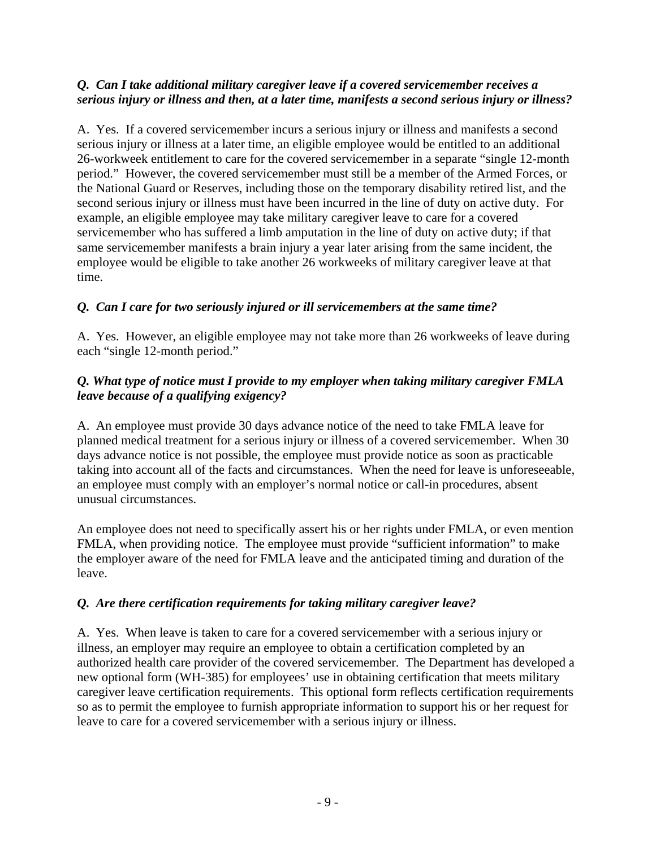#### *Q. Can I take additional military caregiver leave if a covered servicemember receives a serious injury or illness and then, at a later time, manifests a second serious injury or illness?*

A. Yes. If a covered servicemember incurs a serious injury or illness and manifests a second serious injury or illness at a later time, an eligible employee would be entitled to an additional 26-workweek entitlement to care for the covered servicemember in a separate "single 12-month period." However, the covered servicemember must still be a member of the Armed Forces, or the National Guard or Reserves, including those on the temporary disability retired list, and the second serious injury or illness must have been incurred in the line of duty on active duty. For example, an eligible employee may take military caregiver leave to care for a covered servicemember who has suffered a limb amputation in the line of duty on active duty; if that same servicemember manifests a brain injury a year later arising from the same incident, the employee would be eligible to take another 26 workweeks of military caregiver leave at that time.

# *Q. Can I care for two seriously injured or ill servicemembers at the same time?*

A. Yes. However, an eligible employee may not take more than 26 workweeks of leave during each "single 12-month period."

## *Q. What type of notice must I provide to my employer when taking military caregiver FMLA leave because of a qualifying exigency?*

A. An employee must provide 30 days advance notice of the need to take FMLA leave for planned medical treatment for a serious injury or illness of a covered servicemember. When 30 days advance notice is not possible, the employee must provide notice as soon as practicable taking into account all of the facts and circumstances. When the need for leave is unforeseeable, an employee must comply with an employer's normal notice or call-in procedures, absent unusual circumstances.

An employee does not need to specifically assert his or her rights under FMLA, or even mention FMLA, when providing notice. The employee must provide "sufficient information" to make the employer aware of the need for FMLA leave and the anticipated timing and duration of the leave.

#### *Q. Are there certification requirements for taking military caregiver leave?*

A. Yes. When leave is taken to care for a covered servicemember with a serious injury or illness, an employer may require an employee to obtain a certification completed by an authorized health care provider of the covered servicemember. The Department has developed a new optional form (WH-385) for employees' use in obtaining certification that meets military caregiver leave certification requirements. This optional form reflects certification requirements so as to permit the employee to furnish appropriate information to support his or her request for leave to care for a covered servicemember with a serious injury or illness.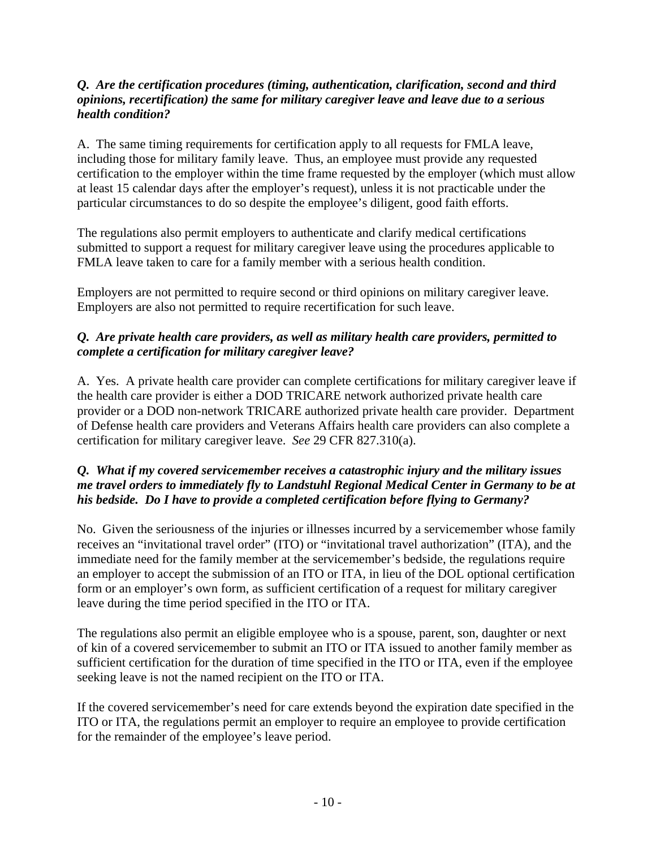#### *Q. Are the certification procedures (timing, authentication, clarification, second and third opinions, recertification) the same for military caregiver leave and leave due to a serious health condition?*

A. The same timing requirements for certification apply to all requests for FMLA leave, including those for military family leave. Thus, an employee must provide any requested certification to the employer within the time frame requested by the employer (which must allow at least 15 calendar days after the employer's request), unless it is not practicable under the particular circumstances to do so despite the employee's diligent, good faith efforts.

The regulations also permit employers to authenticate and clarify medical certifications submitted to support a request for military caregiver leave using the procedures applicable to FMLA leave taken to care for a family member with a serious health condition.

Employers are not permitted to require second or third opinions on military caregiver leave. Employers are also not permitted to require recertification for such leave.

## *Q. Are private health care providers, as well as military health care providers, permitted to complete a certification for military caregiver leave?*

A. Yes. A private health care provider can complete certifications for military caregiver leave if the health care provider is either a DOD TRICARE network authorized private health care provider or a DOD non-network TRICARE authorized private health care provider. Department of Defense health care providers and Veterans Affairs health care providers can also complete a certification for military caregiver leave. *See* 29 CFR 827.310(a).

### *Q. What if my covered servicemember receives a catastrophic injury and the military issues me travel orders to immediately fly to Landstuhl Regional Medical Center in Germany to be at his bedside. Do I have to provide a completed certification before flying to Germany?*

No. Given the seriousness of the injuries or illnesses incurred by a servicemember whose family receives an "invitational travel order" (ITO) or "invitational travel authorization" (ITA), and the immediate need for the family member at the servicemember's bedside, the regulations require an employer to accept the submission of an ITO or ITA, in lieu of the DOL optional certification form or an employer's own form, as sufficient certification of a request for military caregiver leave during the time period specified in the ITO or ITA.

The regulations also permit an eligible employee who is a spouse, parent, son, daughter or next of kin of a covered servicemember to submit an ITO or ITA issued to another family member as sufficient certification for the duration of time specified in the ITO or ITA, even if the employee seeking leave is not the named recipient on the ITO or ITA.

If the covered servicemember's need for care extends beyond the expiration date specified in the ITO or ITA, the regulations permit an employer to require an employee to provide certification for the remainder of the employee's leave period.